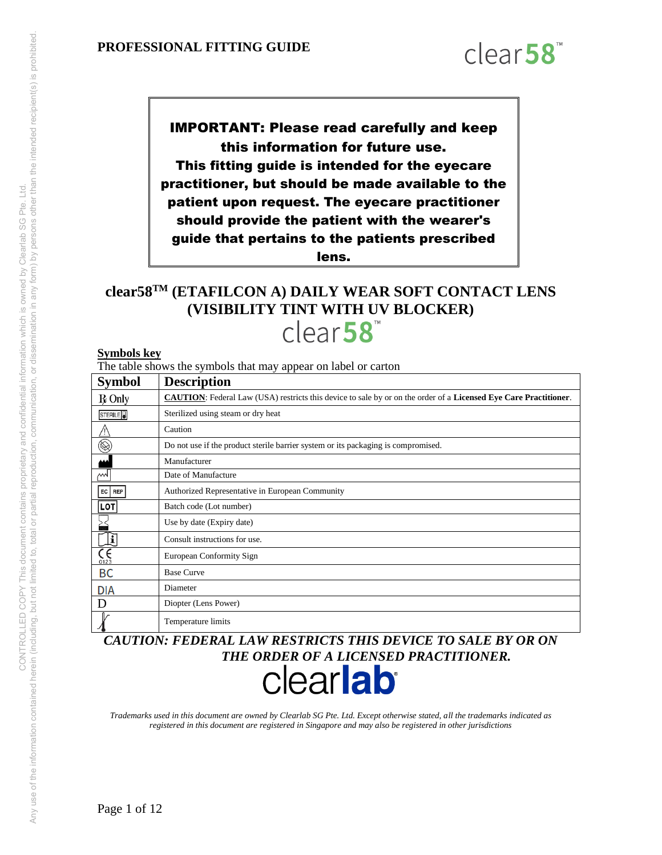

IMPORTANT: Please read carefully and keep this information for future use. This fitting guide is intended for the eyecare practitioner, but should be made available to the patient upon request. The eyecare practitioner should provide the patient with the wearer's guide that pertains to the patients prescribed lens.

# **clear58TM (ETAFILCON A) DAILY WEAR SOFT CONTACT LENS (VISIBILITY TINT WITH UV BLOCKER)**  clear<sub>58</sub>

#### **Symbols key**

The table shows the symbols that may appear on label or carton

| <b>Symbol</b>           | <b>Description</b>                                                                                                      |
|-------------------------|-------------------------------------------------------------------------------------------------------------------------|
| $R$ Only                | <b>CAUTION:</b> Federal Law (USA) restricts this device to sale by or on the order of a Licensed Eye Care Practitioner. |
| STERILE <sup>D</sup>    | Sterilized using steam or dry heat                                                                                      |
|                         | Caution                                                                                                                 |
| $\circledR$             | Do not use if the product sterile barrier system or its packaging is compromised.                                       |
|                         | Manufacturer                                                                                                            |
| М                       | Date of Manufacture                                                                                                     |
| EC<br>REP               | Authorized Representative in European Community                                                                         |
| <b>LOT</b>              | Batch code (Lot number)                                                                                                 |
|                         | Use by date (Expiry date)                                                                                               |
| i                       | Consult instructions for use.                                                                                           |
| $\zeta_{\frac{0123}{}}$ | European Conformity Sign                                                                                                |
| BC                      | <b>Base Curve</b>                                                                                                       |
| <b>DIA</b>              | Diameter                                                                                                                |
| D                       | Diopter (Lens Power)                                                                                                    |
|                         | Temperature limits                                                                                                      |

*CAUTION: FEDERAL LAW RESTRICTS THIS DEVICE TO SALE BY OR ON THE ORDER OF A LICENSED PRACTITIONER.* 

# clearlab<sup>®</sup>

*Trademarks used in this document are owned by Clearlab SG Pte. Ltd. Except otherwise stated, all the trademarks indicated as registered in this document are registered in Singapore and may also be registered in other jurisdictions*

Page 1 of 12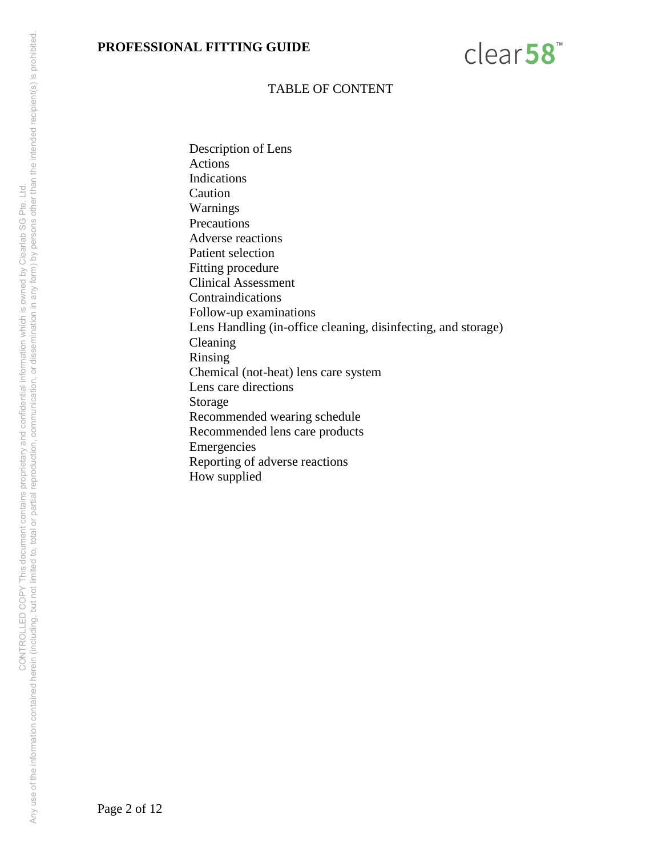

#### TABLE OF CONTENT

Description of Lens Actions Indications Caution Warnings **Precautions** Adverse reactions Patient selection Fitting procedure Clinical Assessment Contraindications Follow-up examinations Lens Handling (in-office cleaning, disinfecting, and storage) Cleaning Rinsing Chemical (not-heat) lens care system Lens care directions Storage Recommended wearing schedule Recommended lens care products Emergencies Reporting of adverse reactions How supplied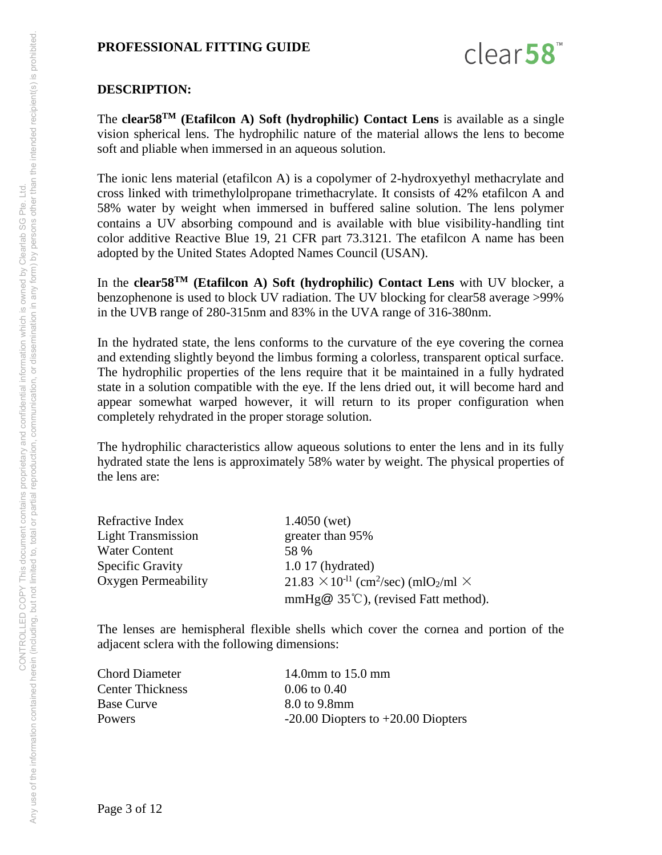

#### **DESCRIPTION:**

The **clear58TM (Etafilcon A) Soft (hydrophilic) Contact Lens** is available as a single vision spherical lens. The hydrophilic nature of the material allows the lens to become soft and pliable when immersed in an aqueous solution.

The ionic lens material (etafilcon A) is a copolymer of 2-hydroxyethyl methacrylate and cross linked with trimethylolpropane trimethacrylate. It consists of 42% etafilcon A and 58% water by weight when immersed in buffered saline solution. The lens polymer contains a UV absorbing compound and is available with blue visibility-handling tint color additive Reactive Blue 19, 21 CFR part 73.3121. The etafilcon A name has been adopted by the United States Adopted Names Council (USAN).

In the **clear58TM (Etafilcon A) Soft (hydrophilic) Contact Lens** with UV blocker, a benzophenone is used to block UV radiation. The UV blocking for clear58 average >99% in the UVB range of 280-315nm and 83% in the UVA range of 316-380nm.

In the hydrated state, the lens conforms to the curvature of the eye covering the cornea and extending slightly beyond the limbus forming a colorless, transparent optical surface. The hydrophilic properties of the lens require that it be maintained in a fully hydrated state in a solution compatible with the eye. If the lens dried out, it will become hard and appear somewhat warped however, it will return to its proper configuration when completely rehydrated in the proper storage solution.

The hydrophilic characteristics allow aqueous solutions to enter the lens and in its fully hydrated state the lens is approximately 58% water by weight. The physical properties of the lens are:

| Refractive Index          | $1.4050$ (wet)                                                                |  |  |
|---------------------------|-------------------------------------------------------------------------------|--|--|
| <b>Light Transmission</b> | greater than 95%                                                              |  |  |
| <b>Water Content</b>      | 58 %                                                                          |  |  |
| <b>Specific Gravity</b>   | $1.017$ (hydrated)                                                            |  |  |
| Oxygen Permeability       | $21.83 \times 10^{-11}$ (cm <sup>2</sup> /sec) (mlO <sub>2</sub> /ml $\times$ |  |  |
|                           | mmHg $@$ 35°C), (revised Fatt method).                                        |  |  |

The lenses are hemispheral flexible shells which cover the cornea and portion of the adjacent sclera with the following dimensions:

| Chord Diameter    | 14.0 mm to $15.0$ mm                   |
|-------------------|----------------------------------------|
| Center Thickness  | $0.06 \text{ to } 0.40$                |
| <b>Base Curve</b> | 8.0 to 9.8mm                           |
| <b>Powers</b>     | $-20.00$ Diopters to $+20.00$ Diopters |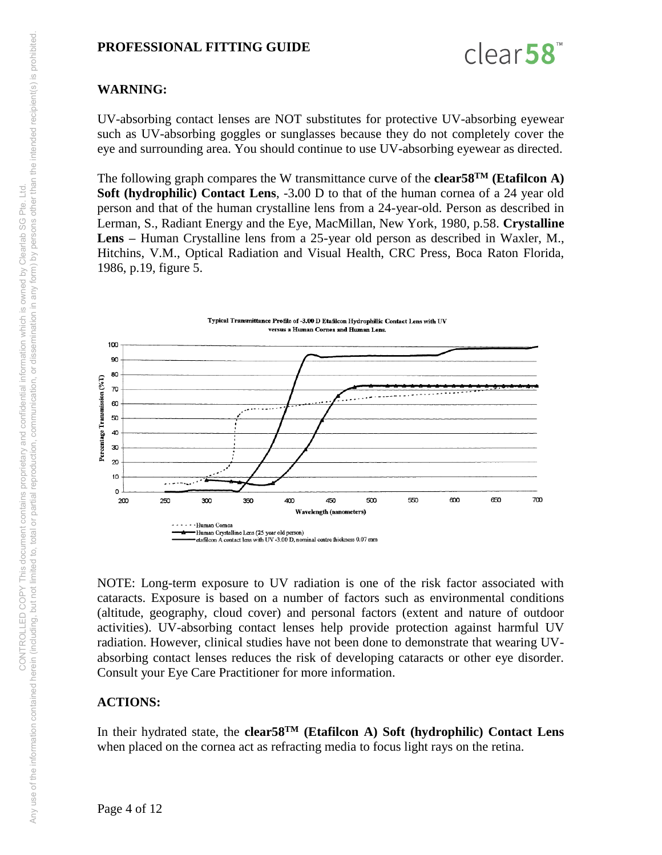

# **WARNING:**

UV-absorbing contact lenses are NOT substitutes for protective UV-absorbing eyewear such as UV-absorbing goggles or sunglasses because they do not completely cover the eye and surrounding area. You should continue to use UV-absorbing eyewear as directed.

The following graph compares the W transmittance curve of the **clear58TM (Etafilcon A) Soft (hydrophilic) Contact Lens**, -3**.**00 D to that of the human cornea of a 24 year old person and that of the human crystalline lens from a 24-year-old. Person as described in Lerman, S., Radiant Energy and the Eye, MacMillan, New York, 1980, p.58. **Crystalline Lens –** Human Crystalline lens from a 25-year old person as described in Waxler, M., Hitchins, V.M., Optical Radiation and Visual Health, CRC Press, Boca Raton Florida, 1986, p.19, figure 5.



NOTE: Long-term exposure to UV radiation is one of the risk factor associated with cataracts. Exposure is based on a number of factors such as environmental conditions (altitude, geography, cloud cover) and personal factors (extent and nature of outdoor activities). UV-absorbing contact lenses help provide protection against harmful UV radiation. However, clinical studies have not been done to demonstrate that wearing UVabsorbing contact lenses reduces the risk of developing cataracts or other eye disorder. Consult your Eye Care Practitioner for more information.

#### **ACTIONS:**

In their hydrated state, the **clear58TM (Etafilcon A) Soft (hydrophilic) Contact Lens** when placed on the cornea act as refracting media to focus light rays on the retina.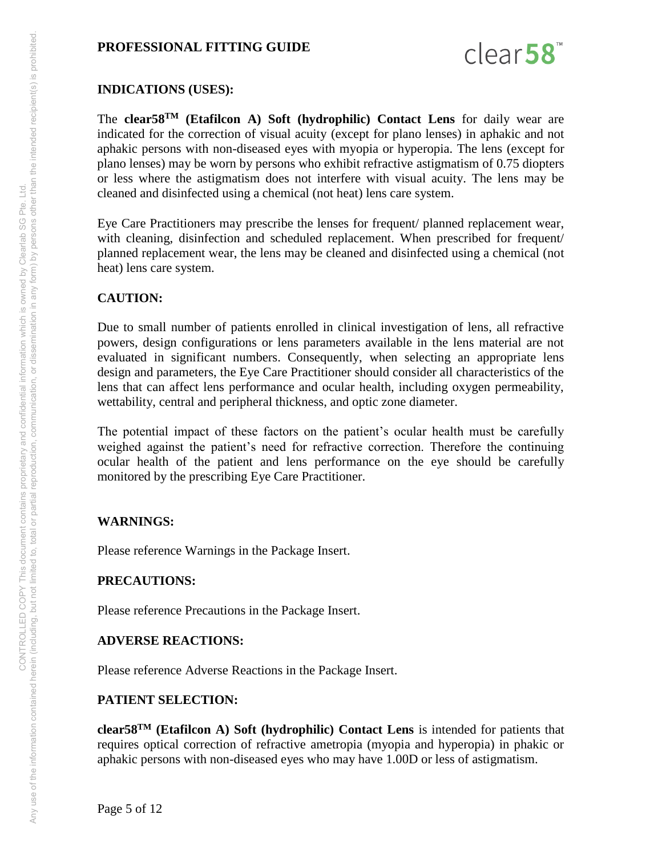

#### **INDICATIONS (USES):**

The **clear58TM (Etafilcon A) Soft (hydrophilic) Contact Lens** for daily wear are indicated for the correction of visual acuity (except for plano lenses) in aphakic and not aphakic persons with non-diseased eyes with myopia or hyperopia. The lens (except for plano lenses) may be worn by persons who exhibit refractive astigmatism of 0.75 diopters or less where the astigmatism does not interfere with visual acuity. The lens may be cleaned and disinfected using a chemical (not heat) lens care system.

Eye Care Practitioners may prescribe the lenses for frequent/ planned replacement wear, with cleaning, disinfection and scheduled replacement. When prescribed for frequent/ planned replacement wear, the lens may be cleaned and disinfected using a chemical (not heat) lens care system.

#### **CAUTION:**

Due to small number of patients enrolled in clinical investigation of lens, all refractive powers, design configurations or lens parameters available in the lens material are not evaluated in significant numbers. Consequently, when selecting an appropriate lens design and parameters, the Eye Care Practitioner should consider all characteristics of the lens that can affect lens performance and ocular health, including oxygen permeability, wettability, central and peripheral thickness, and optic zone diameter.

The potential impact of these factors on the patient's ocular health must be carefully weighed against the patient's need for refractive correction. Therefore the continuing ocular health of the patient and lens performance on the eye should be carefully monitored by the prescribing Eye Care Practitioner.

#### **WARNINGS:**

Please reference Warnings in the Package Insert.

#### **PRECAUTIONS:**

Please reference Precautions in the Package Insert.

#### **ADVERSE REACTIONS:**

Please reference Adverse Reactions in the Package Insert.

#### **PATIENT SELECTION:**

**clear58TM (Etafilcon A) Soft (hydrophilic) Contact Lens** is intended for patients that requires optical correction of refractive ametropia (myopia and hyperopia) in phakic or aphakic persons with non-diseased eyes who may have 1.00D or less of astigmatism.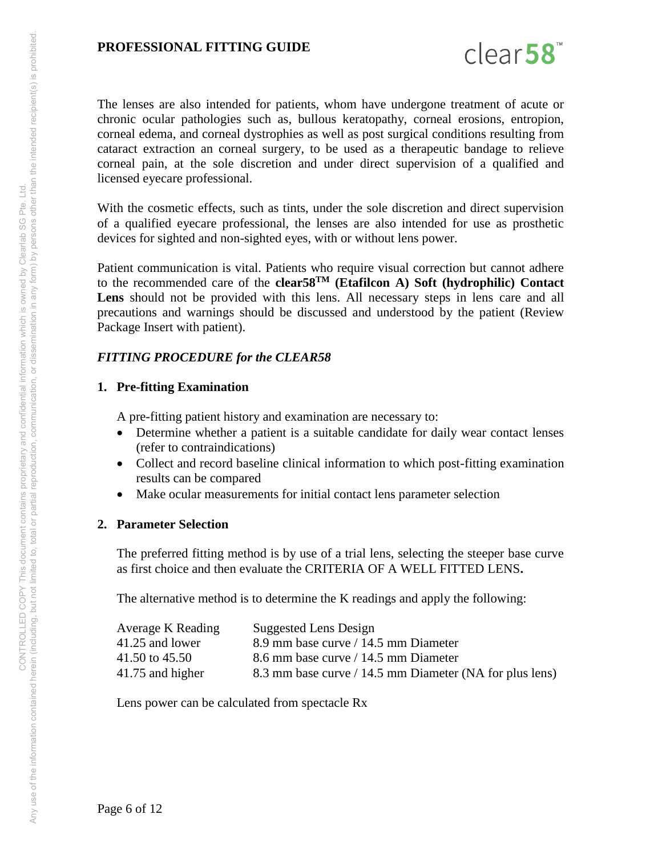

The lenses are also intended for patients, whom have undergone treatment of acute or chronic ocular pathologies such as, bullous keratopathy, corneal erosions, entropion, corneal edema, and corneal dystrophies as well as post surgical conditions resulting from cataract extraction an corneal surgery, to be used as a therapeutic bandage to relieve corneal pain, at the sole discretion and under direct supervision of a qualified and licensed eyecare professional.

With the cosmetic effects, such as tints, under the sole discretion and direct supervision of a qualified eyecare professional, the lenses are also intended for use as prosthetic devices for sighted and non-sighted eyes, with or without lens power.

Patient communication is vital. Patients who require visual correction but cannot adhere to the recommended care of the **clear58TM (Etafilcon A) Soft (hydrophilic) Contact**  Lens should not be provided with this lens. All necessary steps in lens care and all precautions and warnings should be discussed and understood by the patient (Review Package Insert with patient).

#### *FITTING PROCEDURE for the CLEAR58*

#### **1. Pre-fitting Examination**

A pre-fitting patient history and examination are necessary to:

- Determine whether a patient is a suitable candidate for daily wear contact lenses (refer to contraindications)
- Collect and record baseline clinical information to which post-fitting examination results can be compared
- Make ocular measurements for initial contact lens parameter selection

#### **2. Parameter Selection**

The preferred fitting method is by use of a trial lens, selecting the steeper base curve as first choice and then evaluate the CRITERIA OF A WELL FITTED LENS**.**

The alternative method is to determine the K readings and apply the following:

| Average K Reading | Suggested Lens Design                                   |
|-------------------|---------------------------------------------------------|
| 41.25 and lower   | 8.9 mm base curve / 14.5 mm Diameter                    |
| 41.50 to 45.50    | 8.6 mm base curve / 14.5 mm Diameter                    |
| 41.75 and higher  | 8.3 mm base curve / 14.5 mm Diameter (NA for plus lens) |

Lens power can be calculated from spectacle Rx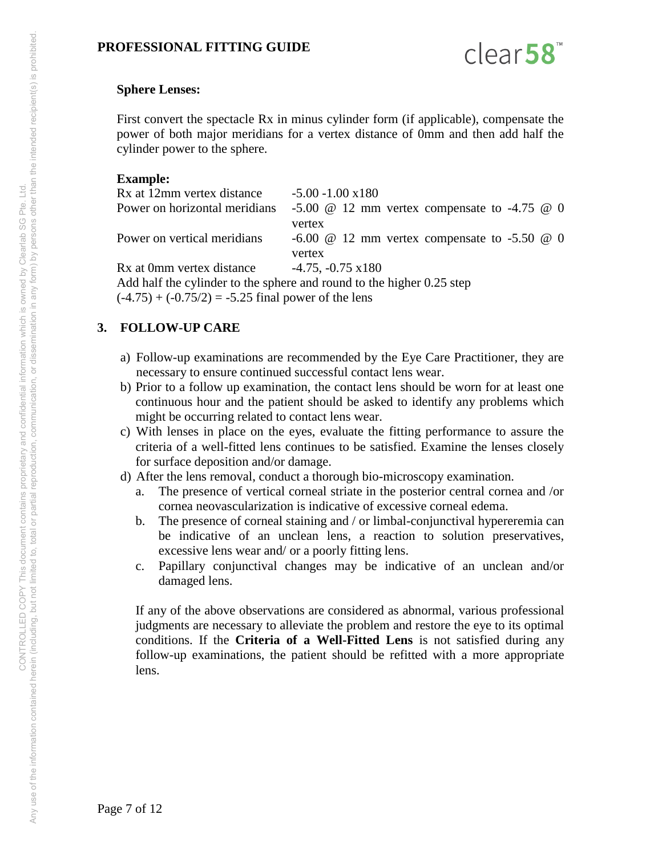

#### **Sphere Lenses:**

First convert the spectacle Rx in minus cylinder form (if applicable), compensate the power of both major meridians for a vertex distance of 0mm and then add half the cylinder power to the sphere.

#### **Example:**

| Rx at 12mm vertex distance    | $-5.00 - 1.00 \times 180$                                                                                    |
|-------------------------------|--------------------------------------------------------------------------------------------------------------|
| Power on horizontal meridians | $-5.00 \quad \textcircled{a} \quad 12 \text{ mm}$ vertex compensate to $-4.75 \quad \textcircled{a} \quad 0$ |
|                               | vertex                                                                                                       |
| Power on vertical meridians   | $-6.00 \quad \textcircled{a} \quad 12 \text{ mm}$ vertex compensate to $-5.50 \quad \textcircled{a} \quad 0$ |
|                               | vertex                                                                                                       |
| Rx at 0mm vertex distance     | $-4.75, -0.75 \times 180$                                                                                    |
|                               | Add half the cylinder to the sphere and round to the higher 0.25 step                                        |
|                               |                                                                                                              |

 $(-4.75) + (-0.75/2) = -5.25$  final power of the lens

# **3. FOLLOW-UP CARE**

- a) Follow-up examinations are recommended by the Eye Care Practitioner, they are necessary to ensure continued successful contact lens wear.
- b) Prior to a follow up examination, the contact lens should be worn for at least one continuous hour and the patient should be asked to identify any problems which might be occurring related to contact lens wear.
- c) With lenses in place on the eyes, evaluate the fitting performance to assure the criteria of a well-fitted lens continues to be satisfied. Examine the lenses closely for surface deposition and/or damage.
- d) After the lens removal, conduct a thorough bio-microscopy examination.
	- a. The presence of vertical corneal striate in the posterior central cornea and /or cornea neovascularization is indicative of excessive corneal edema.
	- b. The presence of corneal staining and / or limbal-conjunctival hypereremia can be indicative of an unclean lens, a reaction to solution preservatives, excessive lens wear and/ or a poorly fitting lens.
	- c. Papillary conjunctival changes may be indicative of an unclean and/or damaged lens.

If any of the above observations are considered as abnormal, various professional judgments are necessary to alleviate the problem and restore the eye to its optimal conditions. If the **Criteria of a Well-Fitted Lens** is not satisfied during any follow-up examinations, the patient should be refitted with a more appropriate lens.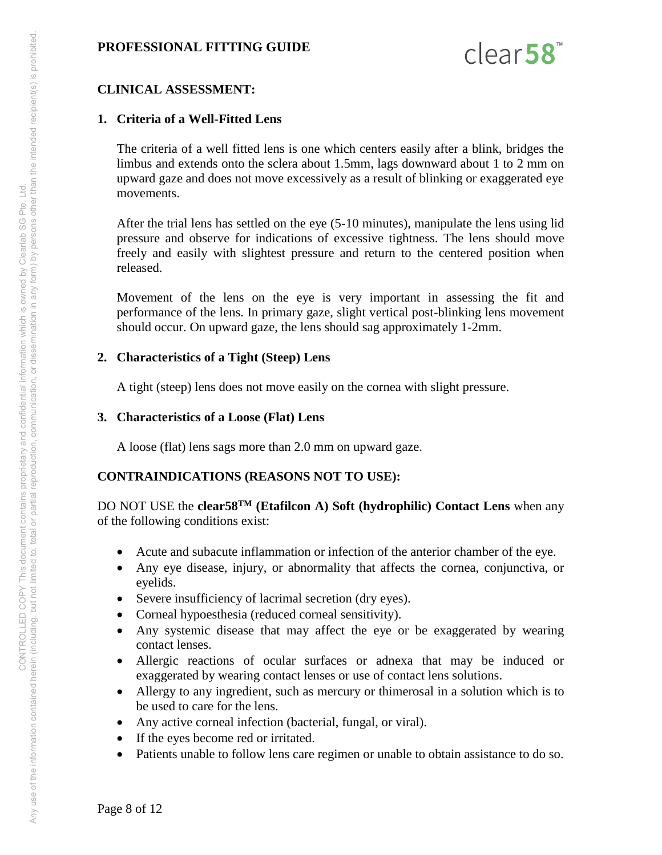

#### **CLINICAL ASSESSMENT:**

#### **1. Criteria of a Well-Fitted Lens**

The criteria of a well fitted lens is one which centers easily after a blink, bridges the limbus and extends onto the sclera about 1.5mm, lags downward about 1 to 2 mm on upward gaze and does not move excessively as a result of blinking or exaggerated eye movements.

After the trial lens has settled on the eye (5-10 minutes), manipulate the lens using lid pressure and observe for indications of excessive tightness. The lens should move freely and easily with slightest pressure and return to the centered position when released.

Movement of the lens on the eye is very important in assessing the fit and performance of the lens. In primary gaze, slight vertical post-blinking lens movement should occur. On upward gaze, the lens should sag approximately 1-2mm.

#### **2. Characteristics of a Tight (Steep) Lens**

A tight (steep) lens does not move easily on the cornea with slight pressure.

#### **3. Characteristics of a Loose (Flat) Lens**

A loose (flat) lens sags more than 2.0 mm on upward gaze.

#### **CONTRAINDICATIONS (REASONS NOT TO USE):**

DO NOT USE the **clear58TM (Etafilcon A) Soft (hydrophilic) Contact Lens** when any of the following conditions exist:

- Acute and subacute inflammation or infection of the anterior chamber of the eye.
- Any eye disease, injury, or abnormality that affects the cornea, conjunctiva, or eyelids.
- Severe insufficiency of lacrimal secretion (dry eyes).
- Corneal hypoesthesia (reduced corneal sensitivity).
- Any systemic disease that may affect the eye or be exaggerated by wearing contact lenses.
- Allergic reactions of ocular surfaces or adnexa that may be induced or exaggerated by wearing contact lenses or use of contact lens solutions.
- Allergy to any ingredient, such as mercury or thimerosal in a solution which is to be used to care for the lens.
- Any active corneal infection (bacterial, fungal, or viral).
- If the eyes become red or irritated.
- Patients unable to follow lens care regimen or unable to obtain assistance to do so.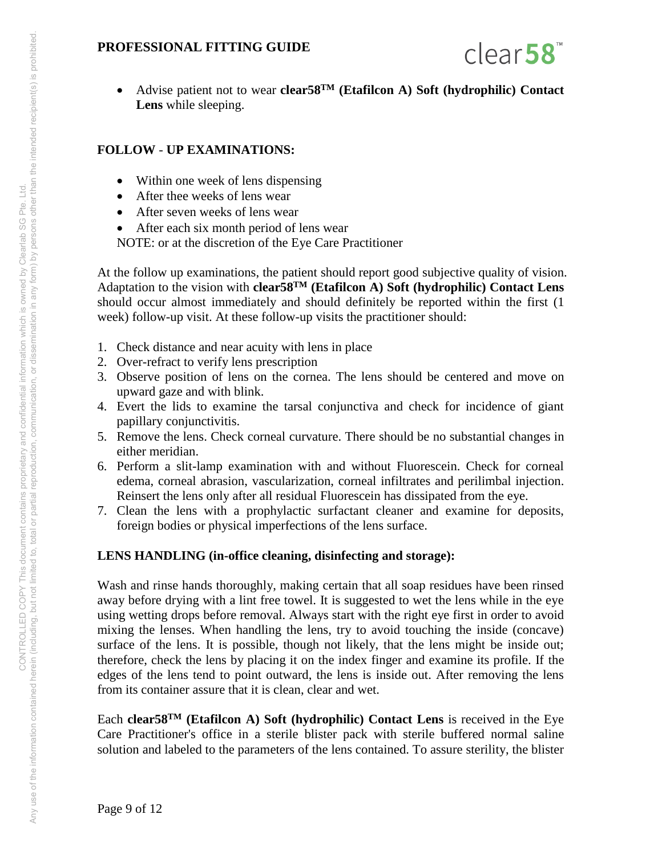

 Advise patient not to wear **clear58TM (Etafilcon A) Soft (hydrophilic) Contact Lens** while sleeping.

#### **FOLLOW** - **UP EXAMINATIONS:**

- Within one week of lens dispensing
- After thee weeks of lens wear
- After seven weeks of lens wear
- After each six month period of lens wear
- NOTE: or at the discretion of the Eye Care Practitioner

At the follow up examinations, the patient should report good subjective quality of vision. Adaptation to the vision with **clear58TM (Etafilcon A) Soft (hydrophilic) Contact Lens** should occur almost immediately and should definitely be reported within the first (1 week) follow-up visit. At these follow-up visits the practitioner should:

- 1. Check distance and near acuity with lens in place
- 2. Over-refract to verify lens prescription
- 3. Observe position of lens on the cornea. The lens should be centered and move on upward gaze and with blink.
- 4. Evert the lids to examine the tarsal conjunctiva and check for incidence of giant papillary conjunctivitis.
- 5. Remove the lens. Check corneal curvature. There should be no substantial changes in either meridian.
- 6. Perform a slit-lamp examination with and without Fluorescein. Check for corneal edema, corneal abrasion, vascularization, corneal infiltrates and perilimbal injection. Reinsert the lens only after all residual Fluorescein has dissipated from the eye.
- 7. Clean the lens with a prophylactic surfactant cleaner and examine for deposits, foreign bodies or physical imperfections of the lens surface.

#### **LENS HANDLING (in-office cleaning, disinfecting and storage):**

Wash and rinse hands thoroughly, making certain that all soap residues have been rinsed away before drying with a lint free towel. It is suggested to wet the lens while in the eye using wetting drops before removal. Always start with the right eye first in order to avoid mixing the lenses. When handling the lens, try to avoid touching the inside (concave) surface of the lens. It is possible, though not likely, that the lens might be inside out; therefore, check the lens by placing it on the index finger and examine its profile. If the edges of the lens tend to point outward, the lens is inside out. After removing the lens from its container assure that it is clean, clear and wet.

Each **clear58TM (Etafilcon A) Soft (hydrophilic) Contact Lens** is received in the Eye Care Practitioner's office in a sterile blister pack with sterile buffered normal saline solution and labeled to the parameters of the lens contained. To assure sterility, the blister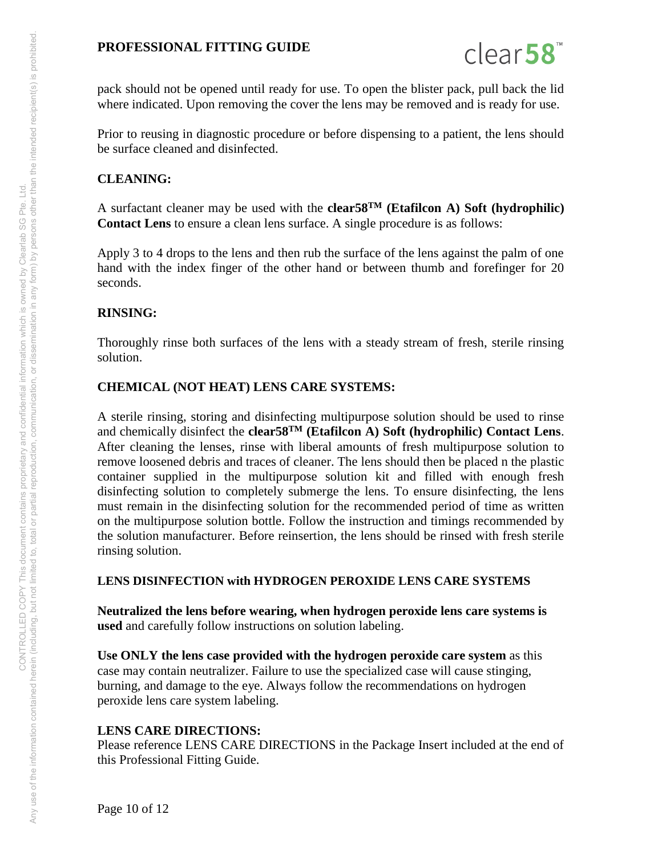

pack should not be opened until ready for use. To open the blister pack, pull back the lid where indicated. Upon removing the cover the lens may be removed and is ready for use.

Prior to reusing in diagnostic procedure or before dispensing to a patient, the lens should be surface cleaned and disinfected.

#### **CLEANING:**

A surfactant cleaner may be used with the **clear58TM (Etafilcon A) Soft (hydrophilic) Contact Lens** to ensure a clean lens surface. A single procedure is as follows:

Apply 3 to 4 drops to the lens and then rub the surface of the lens against the palm of one hand with the index finger of the other hand or between thumb and forefinger for 20 seconds.

#### **RINSING:**

Thoroughly rinse both surfaces of the lens with a steady stream of fresh, sterile rinsing solution.

#### **CHEMICAL (NOT HEAT) LENS CARE SYSTEMS:**

A sterile rinsing, storing and disinfecting multipurpose solution should be used to rinse and chemically disinfect the **clear58TM (Etafilcon A) Soft (hydrophilic) Contact Lens**. After cleaning the lenses, rinse with liberal amounts of fresh multipurpose solution to remove loosened debris and traces of cleaner. The lens should then be placed n the plastic container supplied in the multipurpose solution kit and filled with enough fresh disinfecting solution to completely submerge the lens. To ensure disinfecting, the lens must remain in the disinfecting solution for the recommended period of time as written on the multipurpose solution bottle. Follow the instruction and timings recommended by the solution manufacturer. Before reinsertion, the lens should be rinsed with fresh sterile rinsing solution.

#### **LENS DISINFECTION with HYDROGEN PEROXIDE LENS CARE SYSTEMS**

**Neutralized the lens before wearing, when hydrogen peroxide lens care systems is used** and carefully follow instructions on solution labeling.

**Use ONLY the lens case provided with the hydrogen peroxide care system** as this case may contain neutralizer. Failure to use the specialized case will cause stinging, burning, and damage to the eye. Always follow the recommendations on hydrogen peroxide lens care system labeling.

#### **LENS CARE DIRECTIONS:**

Please reference LENS CARE DIRECTIONS in the Package Insert included at the end of this Professional Fitting Guide.

Any use of the information contained herein (including, but not limited to, total or partial reproduction, communication, or dissemination in any form) by persons other than the intended recipient(s) is prohibited. Any use of the information contained herein (including, but not imitate to having proprietary and confidential information which is owned by Clearlab SG Pte. Ltd.<br>Any use of the information contained herein (including, but CONTROLLED COPY This document contains proprietary and confidential information which is owned by Clearlab SG Pte. Ltd.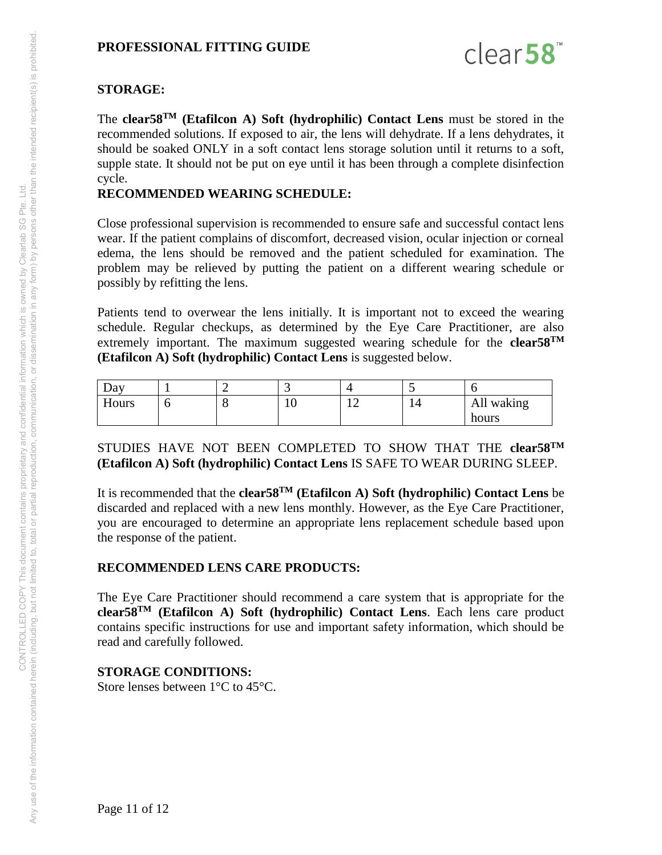

# **STORAGE:**

The **clear58TM (Etafilcon A) Soft (hydrophilic) Contact Lens** must be stored in the recommended solutions. If exposed to air, the lens will dehydrate. If a lens dehydrates, it should be soaked ONLY in a soft contact lens storage solution until it returns to a soft, supple state. It should not be put on eye until it has been through a complete disinfection cycle.

# **RECOMMENDED WEARING SCHEDULE:**

Close professional supervision is recommended to ensure safe and successful contact lens wear. If the patient complains of discomfort, decreased vision, ocular injection or corneal edema, the lens should be removed and the patient scheduled for examination. The problem may be relieved by putting the patient on a different wearing schedule or possibly by refitting the lens.

Patients tend to overwear the lens initially. It is important not to exceed the wearing schedule. Regular checkups, as determined by the Eye Care Practitioner, are also extremely important. The maximum suggested wearing schedule for the **clear58TM (Etafilcon A) Soft (hydrophilic) Contact Lens** is suggested below.

| $\Delta$ d $\rm v$ |   |    |                            | $\sim$ . | . .           |
|--------------------|---|----|----------------------------|----------|---------------|
| T T<br>Hours       | u | ⊥∪ | $1^{\wedge}$<br>. <i>.</i> | 14       | All<br>waking |
|                    |   |    |                            |          | hours         |

# STUDIES HAVE NOT BEEN COMPLETED TO SHOW THAT THE **clear58TM (Etafilcon A) Soft (hydrophilic) Contact Lens** IS SAFE TO WEAR DURING SLEEP.

It is recommended that the **clear58TM (Etafilcon A) Soft (hydrophilic) Contact Lens** be discarded and replaced with a new lens monthly. However, as the Eye Care Practitioner, you are encouraged to determine an appropriate lens replacement schedule based upon the response of the patient.

# **RECOMMENDED LENS CARE PRODUCTS:**

The Eye Care Practitioner should recommend a care system that is appropriate for the **clear58TM (Etafilcon A) Soft (hydrophilic) Contact Lens**. Each lens care product contains specific instructions for use and important safety information, which should be read and carefully followed.

# **STORAGE CONDITIONS:**

Store lenses between 1°C to 45°C.